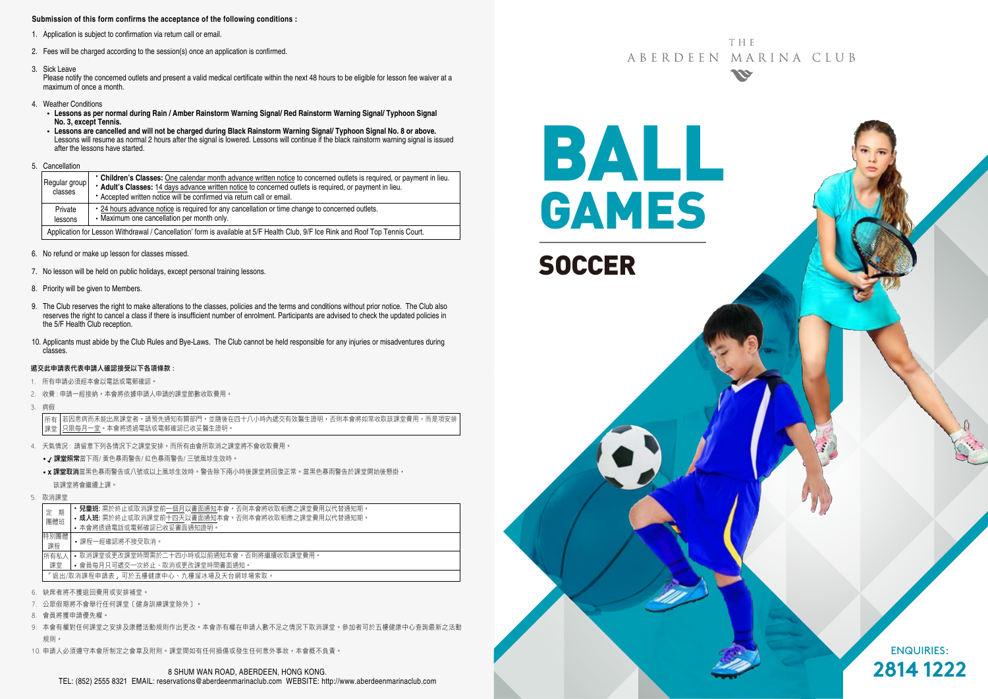#### **Submission of this form confirms the acceptance of the following conditions :**

- 1. Application is subject to confirmation via return call or email.
- 2. Fees will be charged according to the session(s) once an application is confirmed.
- 3. Sick Leave

Please notify the concerned outlets and present a valid medical certificate within the next 48 hours to be eligible for lesson fee waiver at a maximum of once a month.

- 4. Weather Conditions
	- **Lessons as per normal during Rain / Amber Rainstorm Warning Signal/ Red Rainstorm Warning Signal/ Typhoon Signal No. 3, except Tennis.**
	- **Lessons are cancelled and will not be charged during Black Rainstorm Warning Signal/ Typhoon Signal No. 8 or above.** Lessons will resume as normal 2 hours after the signal is lowered. Lessons will continue if the black rainstorm warning signal is issued after the lessons have started.
- 5. Cancellation

| Regular group<br>classes                                                                                                        | • Children's Classes: One calendar month advance written notice to concerned outlets is required, or payment in lieu.<br>* Adult's Classes: 14 days advance written notice to concerned outlets is required, or payment in lieu.<br>• Accepted written notice will be confirmed via return call or email. |  |  |  |  |
|---------------------------------------------------------------------------------------------------------------------------------|-----------------------------------------------------------------------------------------------------------------------------------------------------------------------------------------------------------------------------------------------------------------------------------------------------------|--|--|--|--|
| Private<br>lessons                                                                                                              | • 24 hours advance notice is required for any cancellation or time change to concerned outlets.<br>• Maximum one cancellation per month only.                                                                                                                                                             |  |  |  |  |
| Application for Lesson Withdrawal / Cancellation' form is available at 5/F Health Club, 9/F Ice Rink and Roof Top Tennis Court. |                                                                                                                                                                                                                                                                                                           |  |  |  |  |

- 6. No refund or make up lesson for classes missed.
- 7. No lesson will be held on public holidays, except personal training lessons.
- 8. Priority will be given to Members.
- 9. The Club reserves the right to make alterations to the classes, policies and the terms and conditions without prior notice. The Club also reserves the right to cancel a class if there is insufficient number of enrolment. Participants are advised to check the updated policies in the 5/F Health Club reception.
- 10. Applicants must abide by the Club Rules and Bye-Laws. The Club cannot be held responsible for any injuries or misadventures during classes.

#### 遞交此申請表代表申請人確認接受以下各項條款 :

- 1. 所有申請必須經本會以電話或電郵確認。
- 2. 收費: 申請一經接納, 本會將依據申請人申請的課堂節數收取費用,
- 3. 病假

若因患病而未能出席課堂者,請預先通知有關部門,並隨後在四十八小時內遞交有效醫生證明,否則本會將如常收取該課堂費用,而是項安排 只限每月一堂。本會將透過電話或電郵確認已收妥醫生證明。 所有 課堂

- 4. 天氣情況 : 請留意下列各情況下之課堂安排,而所有由會所取消之課堂將不會收取費用。
	- / 課堂照常當下雨/ 黃色暴雨警告/ 紅色暴雨警告/ 三號風球生效時。
	- x 課堂取消當黑色暴雨警告或八號或以上風球生效時。警告除下兩小時後課堂將回復正常。當黑色暴雨警告於課堂開始後懸掛, 該課堂將會繼續上課。
- 5. 取消課堂

| 期<br>定<br>團體班 |                                     | <b>兒童班:</b> 需於終止或取消課堂前一個月以書面通知本會。否則本會將收取相應之課堂費用以代替通知期。 |  |  |  |  |  |
|---------------|-------------------------------------|--------------------------------------------------------|--|--|--|--|--|
|               |                                     | • 成人班: 需於終止或取消課堂前十四天以書面通知本會。否則本會將收取相應之課堂費用以代替通知期。      |  |  |  |  |  |
|               |                                     | • 本會將诱過電話或電郵確認已收妥書面通知證明。                               |  |  |  |  |  |
| 特別團體<br>課程    |                                     | •課程一經確認將不接受取消。                                         |  |  |  |  |  |
| 所有私人          |                                     | • 取消課堂或更改課堂時間需於二十四小時或以前捅知本會,否則將繼續收取課堂費用。               |  |  |  |  |  |
| 課堂            |                                     | • 會員每月只可遞交一次終止、取消或更改課堂時間書面通知。                          |  |  |  |  |  |
|               | 「狠出/取消課程申請表,可於五樓健康中心、九樓溜冰場及天台網球場索取。 |                                                        |  |  |  |  |  |
|               |                                     |                                                        |  |  |  |  |  |

- 6. 缺席者將不獲退回費用或安排補堂。
- 7. 公眾假期將不會舉行任何課堂﹝健身訓練課堂除外﹞。
- 8. 會員將獲申請優先權。
- 9. 本會有權對任何課堂之安排及康體活動規則作出更改。本會亦有權在申請人數不足之情況下取消課堂。參加者可於五樓健康中心查詢最新之活動 規則。
- 10. 申請人必須遵守本會所制定之會章及附則。課堂間如有任何損傷或發生任何意外事故,本會概不負責。